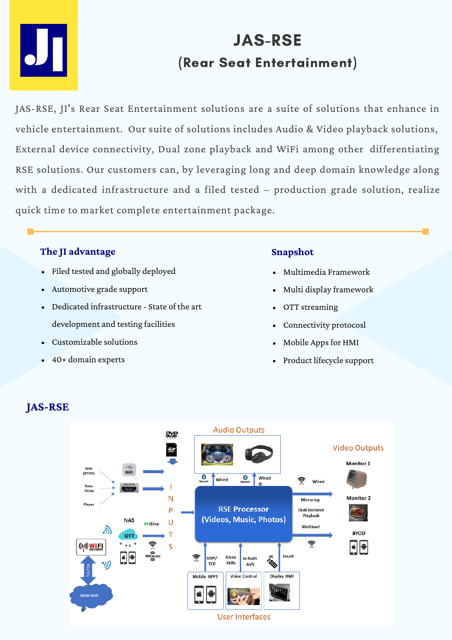

# JAS-RSE (Rear Seat Entertainment)

JAS-RSE, JI's Rear Seat Entertainment solutions are a suite of solutions that enhance in vehicle entertainment. Our suite of solutions includes Audio & Video playback solutions, External device connectivity, Dual zone playback and WiFi among other differentiating RSE solutions. Our customers can, by leveraging long and deep domain knowledge along with a dedicated infrastructure and a filed tested – production grade solution, realize quick time to market complete entertainment package.

## **The JI advantage**

- Filed tested and globally deployed
- Automotive grade support
- Dedicated infrastructure State of the art development and testing facilities
- Customizable solutions
- 40+ domain experts

## **Snapshot**

- Multimedia Framework
- Multi display framework
- OTT streaming
- Connectivity protocosl  $\bullet$
- Mobile Appsfor HMI
- Product lifecycle support



## **JAS-RSE**